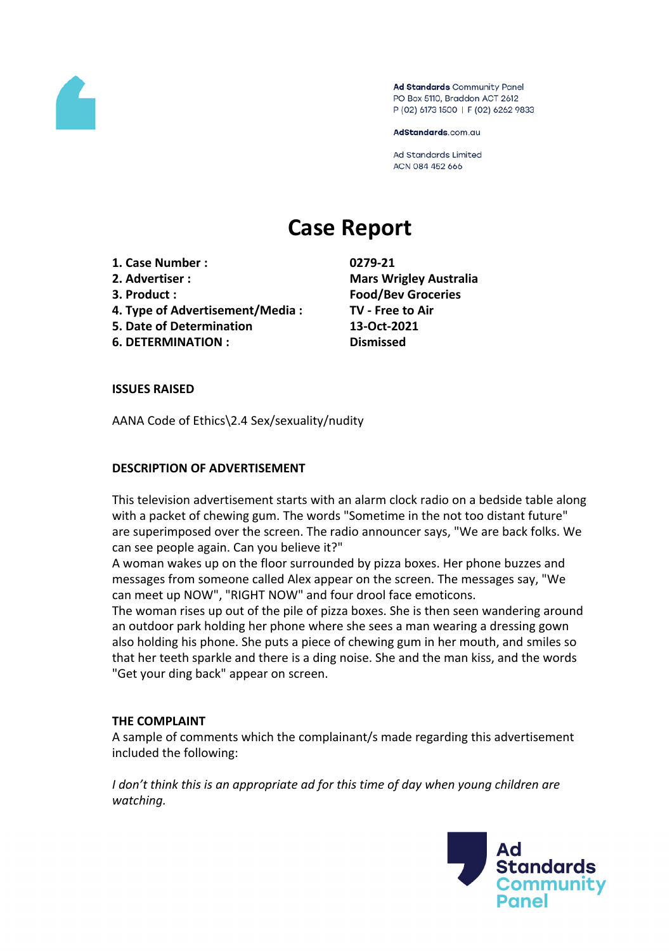

Ad Standards Community Panel PO Box 5110, Braddon ACT 2612 P (02) 6173 1500 | F (02) 6262 9833

AdStandards.com.au

**Ad Standards Limited** ACN 084 452 666

# **Case Report**

- **1. Case Number : 0279-21**
- 
- 
- **4. Type of Advertisement/Media : TV - Free to Air**
- **5. Date of Determination 13-Oct-2021**
- **6. DETERMINATION : Dismissed**

**2. Advertiser : Mars Wrigley Australia 3. Product : Food/Bev Groceries**

## **ISSUES RAISED**

AANA Code of Ethics\2.4 Sex/sexuality/nudity

## **DESCRIPTION OF ADVERTISEMENT**

This television advertisement starts with an alarm clock radio on a bedside table along with a packet of chewing gum. The words "Sometime in the not too distant future" are superimposed over the screen. The radio announcer says, "We are back folks. We can see people again. Can you believe it?"

A woman wakes up on the floor surrounded by pizza boxes. Her phone buzzes and messages from someone called Alex appear on the screen. The messages say, "We can meet up NOW", "RIGHT NOW" and four drool face emoticons.

The woman rises up out of the pile of pizza boxes. She is then seen wandering around an outdoor park holding her phone where she sees a man wearing a dressing gown also holding his phone. She puts a piece of chewing gum in her mouth, and smiles so that her teeth sparkle and there is a ding noise. She and the man kiss, and the words "Get your ding back" appear on screen.

## **THE COMPLAINT**

A sample of comments which the complainant/s made regarding this advertisement included the following:

*I don't think this is an appropriate ad for this time of day when young children are watching.*

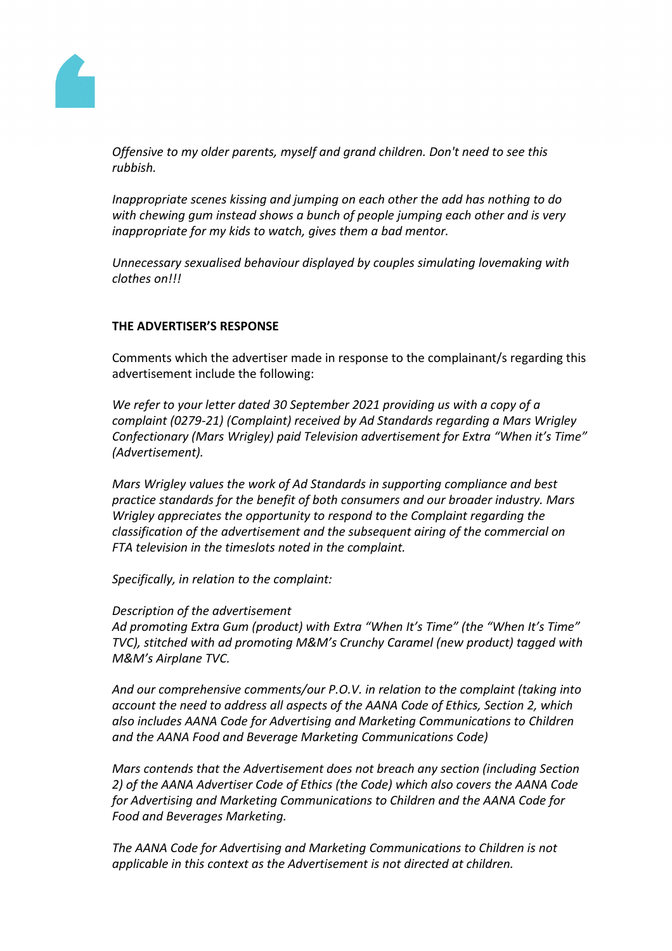

*Offensive to my older parents, myself and grand children. Don't need to see this rubbish.*

*Inappropriate scenes kissing and jumping on each other the add has nothing to do with chewing gum instead shows a bunch of people jumping each other and is very inappropriate for my kids to watch, gives them a bad mentor.*

*Unnecessary sexualised behaviour displayed by couples simulating lovemaking with clothes on!!!*

## **THE ADVERTISER'S RESPONSE**

Comments which the advertiser made in response to the complainant/s regarding this advertisement include the following:

*We refer to your letter dated 30 September 2021 providing us with a copy of a complaint (0279-21) (Complaint) received by Ad Standards regarding a Mars Wrigley Confectionary (Mars Wrigley) paid Television advertisement for Extra "When it's Time" (Advertisement).*

*Mars Wrigley values the work of Ad Standards in supporting compliance and best practice standards for the benefit of both consumers and our broader industry. Mars Wrigley appreciates the opportunity to respond to the Complaint regarding the classification of the advertisement and the subsequent airing of the commercial on FTA television in the timeslots noted in the complaint.*

*Specifically, in relation to the complaint:*

*Description of the advertisement Ad promoting Extra Gum (product) with Extra "When It's Time" (the "When It's Time" TVC), stitched with ad promoting M&M's Crunchy Caramel (new product) tagged with M&M's Airplane TVC.*

*And our comprehensive comments/our P.O.V. in relation to the complaint (taking into account the need to address all aspects of the AANA Code of Ethics, Section 2, which also includes AANA Code for Advertising and Marketing Communications to Children and the AANA Food and Beverage Marketing Communications Code)*

*Mars contends that the Advertisement does not breach any section (including Section 2) of the AANA Advertiser Code of Ethics (the Code) which also covers the AANA Code for Advertising and Marketing Communications to Children and the AANA Code for Food and Beverages Marketing.*

*The AANA Code for Advertising and Marketing Communications to Children is not applicable in this context as the Advertisement is not directed at children.*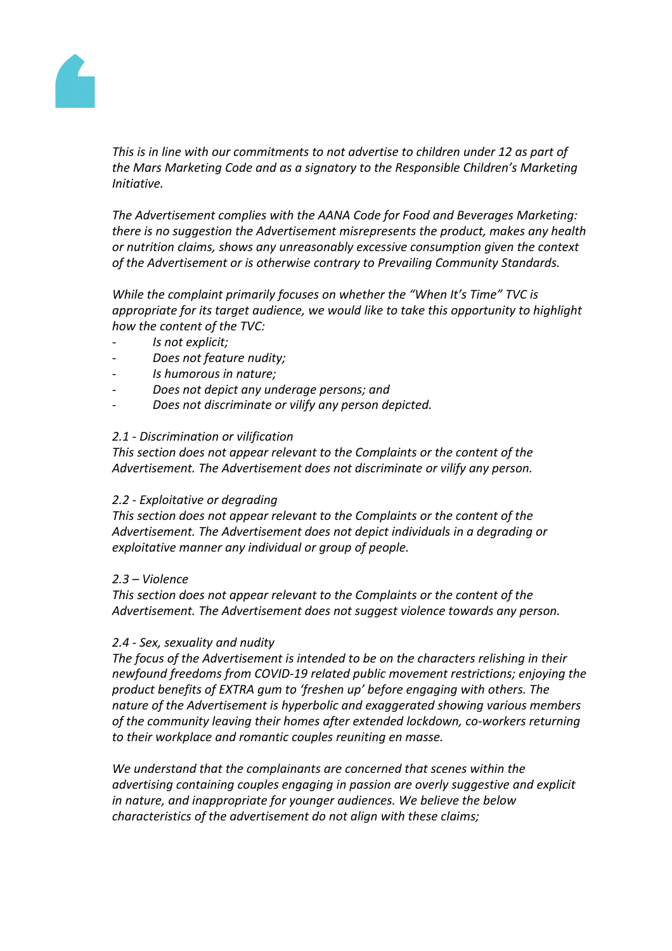

*This is in line with our commitments to not advertise to children under 12 as part of the Mars Marketing Code and as a signatory to the Responsible Children's Marketing Initiative.*

*The Advertisement complies with the AANA Code for Food and Beverages Marketing: there is no suggestion the Advertisement misrepresents the product, makes any health or nutrition claims, shows any unreasonably excessive consumption given the context of the Advertisement or is otherwise contrary to Prevailing Community Standards.*

*While the complaint primarily focuses on whether the "When It's Time" TVC is appropriate for its target audience, we would like to take this opportunity to highlight how the content of the TVC:*

- *- Is not explicit;*
- *- Does not feature nudity;*
- *- Is humorous in nature;*
- *- Does not depict any underage persons; and*
- *- Does not discriminate or vilify any person depicted.*

#### *2.1 - Discrimination or vilification*

*This section does not appear relevant to the Complaints or the content of the Advertisement. The Advertisement does not discriminate or vilify any person.*

#### *2.2 - Exploitative or degrading*

*This section does not appear relevant to the Complaints or the content of the Advertisement. The Advertisement does not depict individuals in a degrading or exploitative manner any individual or group of people.*

#### *2.3 – Violence*

*This section does not appear relevant to the Complaints or the content of the Advertisement. The Advertisement does not suggest violence towards any person.*

#### *2.4 - Sex, sexuality and nudity*

*The focus of the Advertisement is intended to be on the characters relishing in their newfound freedoms from COVID-19 related public movement restrictions; enjoying the product benefits of EXTRA gum to 'freshen up' before engaging with others. The nature of the Advertisement is hyperbolic and exaggerated showing various members of the community leaving their homes after extended lockdown, co-workers returning to their workplace and romantic couples reuniting en masse.* 

*We understand that the complainants are concerned that scenes within the advertising containing couples engaging in passion are overly suggestive and explicit in nature, and inappropriate for younger audiences. We believe the below characteristics of the advertisement do not align with these claims;*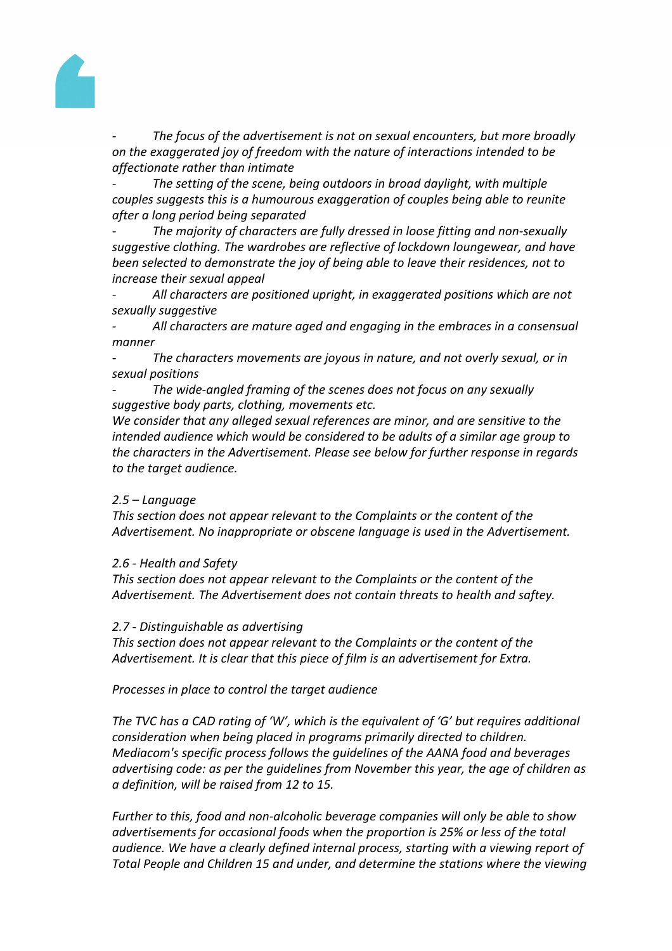

*- The focus of the advertisement is not on sexual encounters, but more broadly on the exaggerated joy of freedom with the nature of interactions intended to be affectionate rather than intimate*

*- The setting of the scene, being outdoors in broad daylight, with multiple couples suggests this is a humourous exaggeration of couples being able to reunite after a long period being separated*

*- The majority of characters are fully dressed in loose fitting and non-sexually suggestive clothing. The wardrobes are reflective of lockdown loungewear, and have been selected to demonstrate the joy of being able to leave their residences, not to increase their sexual appeal*

*- All characters are positioned upright, in exaggerated positions which are not sexually suggestive*

*- All characters are mature aged and engaging in the embraces in a consensual manner*

*- The characters movements are joyous in nature, and not overly sexual, or in sexual positions*

*- The wide-angled framing of the scenes does not focus on any sexually suggestive body parts, clothing, movements etc.*

*We consider that any alleged sexual references are minor, and are sensitive to the intended audience which would be considered to be adults of a similar age group to the characters in the Advertisement. Please see below for further response in regards to the target audience.*

# *2.5 – Language*

*This section does not appear relevant to the Complaints or the content of the Advertisement. No inappropriate or obscene language is used in the Advertisement.*

## *2.6 - Health and Safety*

*This section does not appear relevant to the Complaints or the content of the Advertisement. The Advertisement does not contain threats to health and saftey.*

## *2.7 - Distinguishable as advertising*

*This section does not appear relevant to the Complaints or the content of the Advertisement. It is clear that this piece of film is an advertisement for Extra.*

*Processes in place to control the target audience*

*The TVC has a CAD rating of 'W', which is the equivalent of 'G' but requires additional consideration when being placed in programs primarily directed to children. Mediacom's specific process follows the guidelines of the AANA food and beverages advertising code: as per the guidelines from November this year, the age of children as a definition, will be raised from 12 to 15.*

*Further to this, food and non-alcoholic beverage companies will only be able to show advertisements for occasional foods when the proportion is 25% or less of the total audience. We have a clearly defined internal process, starting with a viewing report of Total People and Children 15 and under, and determine the stations where the viewing*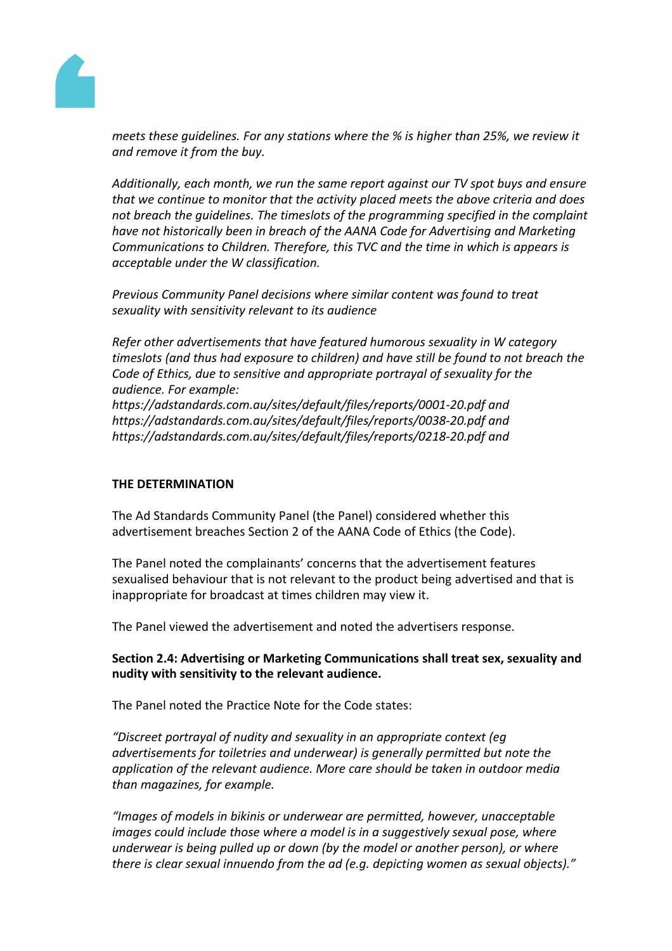

*meets these guidelines. For any stations where the % is higher than 25%, we review it and remove it from the buy.*

*Additionally, each month, we run the same report against our TV spot buys and ensure that we continue to monitor that the activity placed meets the above criteria and does not breach the guidelines. The timeslots of the programming specified in the complaint have not historically been in breach of the AANA Code for Advertising and Marketing Communications to Children. Therefore, this TVC and the time in which is appears is acceptable under the W classification.*

*Previous Community Panel decisions where similar content was found to treat sexuality with sensitivity relevant to its audience*

*Refer other advertisements that have featured humorous sexuality in W category timeslots (and thus had exposure to children) and have still be found to not breach the Code of Ethics, due to sensitive and appropriate portrayal of sexuality for the audience. For example:*

*https://adstandards.com.au/sites/default/files/reports/0001-20.pdf and https://adstandards.com.au/sites/default/files/reports/0038-20.pdf and https://adstandards.com.au/sites/default/files/reports/0218-20.pdf and*

# **THE DETERMINATION**

The Ad Standards Community Panel (the Panel) considered whether this advertisement breaches Section 2 of the AANA Code of Ethics (the Code).

The Panel noted the complainants' concerns that the advertisement features sexualised behaviour that is not relevant to the product being advertised and that is inappropriate for broadcast at times children may view it.

The Panel viewed the advertisement and noted the advertisers response.

## **Section 2.4: Advertising or Marketing Communications shall treat sex, sexuality and nudity with sensitivity to the relevant audience.**

The Panel noted the Practice Note for the Code states:

*"Discreet portrayal of nudity and sexuality in an appropriate context (eg advertisements for toiletries and underwear) is generally permitted but note the application of the relevant audience. More care should be taken in outdoor media than magazines, for example.*

*"Images of models in bikinis or underwear are permitted, however, unacceptable images could include those where a model is in a suggestively sexual pose, where underwear is being pulled up or down (by the model or another person), or where there is clear sexual innuendo from the ad (e.g. depicting women as sexual objects)."*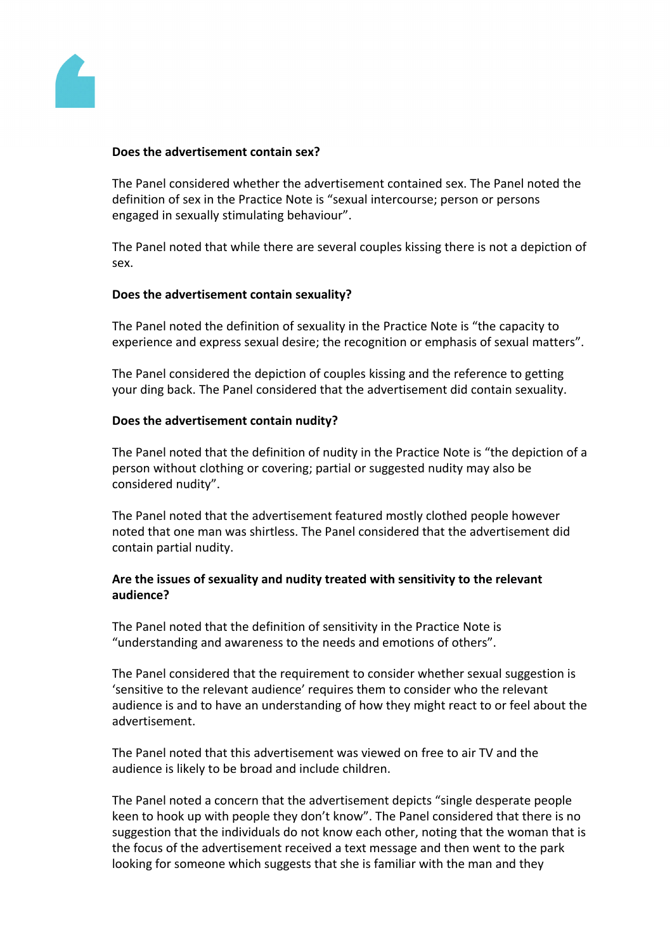

#### **Does the advertisement contain sex?**

The Panel considered whether the advertisement contained sex. The Panel noted the definition of sex in the Practice Note is "sexual intercourse; person or persons engaged in sexually stimulating behaviour".

The Panel noted that while there are several couples kissing there is not a depiction of sex.

#### **Does the advertisement contain sexuality?**

The Panel noted the definition of sexuality in the Practice Note is "the capacity to experience and express sexual desire; the recognition or emphasis of sexual matters".

The Panel considered the depiction of couples kissing and the reference to getting your ding back. The Panel considered that the advertisement did contain sexuality.

#### **Does the advertisement contain nudity?**

The Panel noted that the definition of nudity in the Practice Note is "the depiction of a person without clothing or covering; partial or suggested nudity may also be considered nudity".

The Panel noted that the advertisement featured mostly clothed people however noted that one man was shirtless. The Panel considered that the advertisement did contain partial nudity.

## **Are the issues of sexuality and nudity treated with sensitivity to the relevant audience?**

The Panel noted that the definition of sensitivity in the Practice Note is "understanding and awareness to the needs and emotions of others".

The Panel considered that the requirement to consider whether sexual suggestion is 'sensitive to the relevant audience' requires them to consider who the relevant audience is and to have an understanding of how they might react to or feel about the advertisement.

The Panel noted that this advertisement was viewed on free to air TV and the audience is likely to be broad and include children.

The Panel noted a concern that the advertisement depicts "single desperate people keen to hook up with people they don't know". The Panel considered that there is no suggestion that the individuals do not know each other, noting that the woman that is the focus of the advertisement received a text message and then went to the park looking for someone which suggests that she is familiar with the man and they